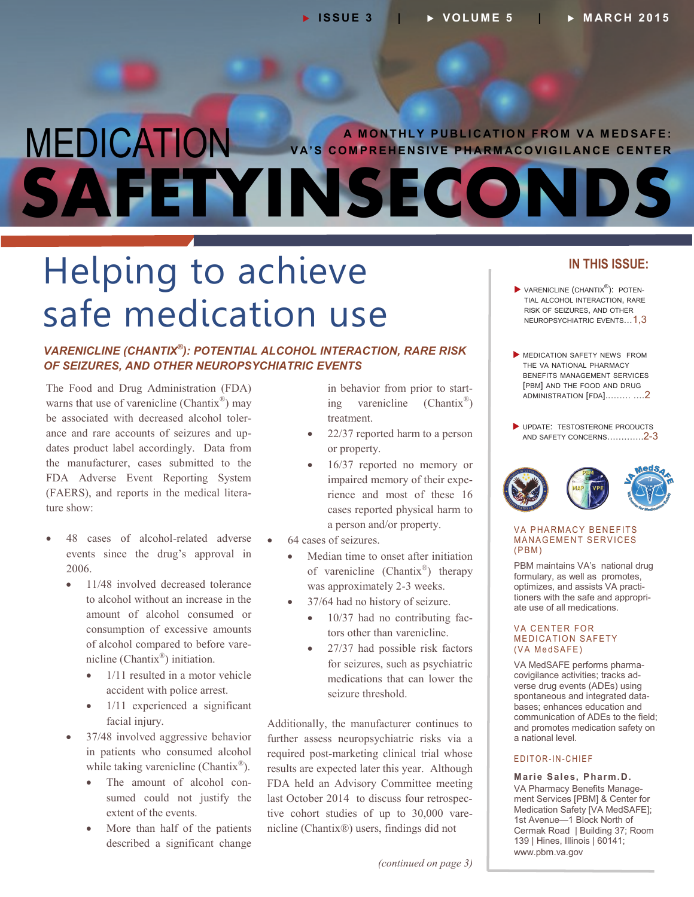# **A MONTHLY PUBLICATION FROM VA MEDSAFE:**<br>VA'S COMPREHENSIVE PHARMACOVIGILANCE CENTER **SAFETYINSECOND**

## Helping to achieve safe medication use

### *VARENICLINE (CHANTIX® ): POTENTIAL ALCOHOL INTERACTION, RARE RISK OF SEIZURES, AND OTHER NEUROPSYCHIATRIC EVENTS*

The Food and Drug Administration (FDA) warns that use of varenicline (Chantix<sup>®</sup>) may be associated with decreased alcohol tolerance and rare accounts of seizures and updates product label accordingly. Data from the manufacturer, cases submitted to the FDA Adverse Event Reporting System (FAERS), and reports in the medical literature show:

- 48 cases of alcohol-related adverse events since the drug's approval in 2006.
	- 11/48 involved decreased tolerance to alcohol without an increase in the amount of alcohol consumed or consumption of excessive amounts of alcohol compared to before varenicline (Chantix® ) initiation.
		- 1/11 resulted in a motor vehicle accident with police arrest.
		- 1/11 experienced a significant facial injury.
	- 37/48 involved aggressive behavior in patients who consumed alcohol while taking varenicline (Chantix<sup>®</sup>).
		- The amount of alcohol consumed could not justify the extent of the events.
		- More than half of the patients described a significant change

in behavior from prior to starting varenicline (Chantix® ) treatment.

- 22/37 reported harm to a person or property.
- 16/37 reported no memory or impaired memory of their experience and most of these 16 cases reported physical harm to a person and/or property.
- 64 cases of seizures.
	- Median time to onset after initiation of varenicline (Chantix<sup>®</sup>) therapy was approximately 2-3 weeks.
	- 37/64 had no history of seizure.
		- 10/37 had no contributing factors other than varenicline.
		- 27/37 had possible risk factors for seizures, such as psychiatric medications that can lower the seizure threshold.

Additionally, the manufacturer continues to further assess neuropsychiatric risks via a required post-marketing clinical trial whose results are expected later this year. Although FDA held an Advisory Committee meeting last October 2014 to discuss four retrospective cohort studies of up to 30,000 varenicline (Chantix®) users, findings did not

**IN THIS ISSUE:**

 MEDICATION SAFETY NEWS FROM THE VA NATIONAL PHARMACY BENEFITS MANAGEMENT SERVICES [PBM] AND THE FOOD AND DRUG [ADMINISTRATION](#page-1-0) [FDA]..……. ….2

**VARENICLINE (CHANTIX<sup>®</sup>): POTEN-**TIAL ALCOHOL INTERACTION, RARE

UPDATE: [TESTOSTERONE](#page-1-0) PRODUCTS AND SAFETY CONCERNS………….2-3



### **VA PHARMACY BENEFITS MANAGEMENT SERVICES**  $(PBM)$

PBM maintains VA's national drug formulary, as well as promotes, optimizes, and assists VA practitioners with the safe and appropriate use of all medications.

### **VA CENTER FOR MEDICATION SAFETY** (VA MedSAFE)

VA MedSAFE performs pharmacovigilance activities; tracks adverse drug events (ADEs) using spontaneous and integrated databases; enhances education and communication of ADEs to the field; and promotes medication safety on a national level.

### E D IT OR - IN - CHIEF

**Marie Sales, Pharm.D.** VA Pharmacy Benefits Management Services [PBM] & Center for Medication Safety [VA MedSAFE]; 1st Avenue—1 Block North of Cermak Road | Building 37; Room 139 | Hines, Illinois | 60141; [www.pbm.va.gov](https://www.pbm.va.gov/)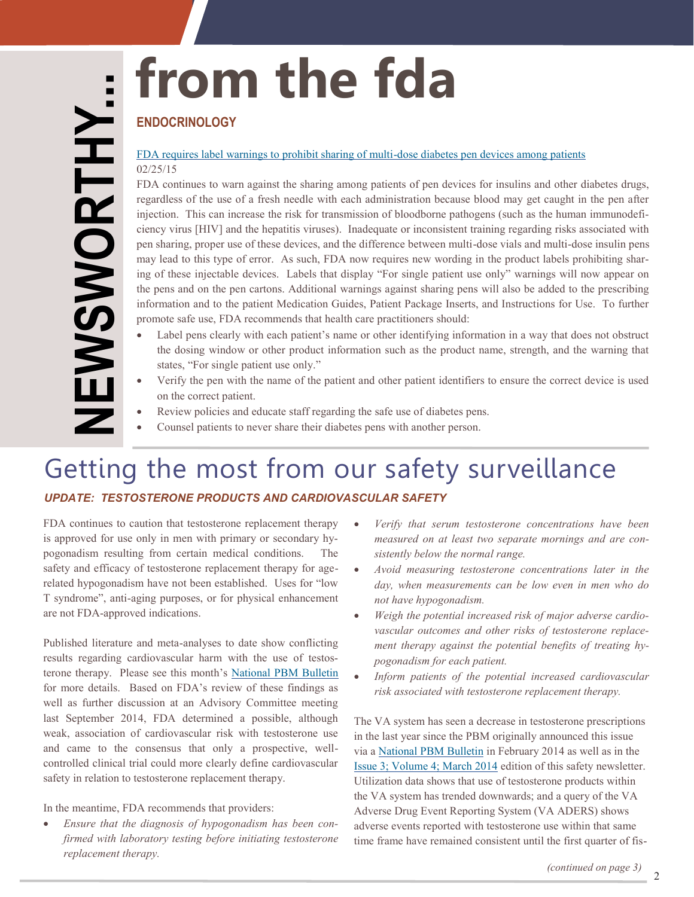# <span id="page-1-0"></span>**from the fda**

### **ENDOCRINOLOGY**

### [FDA requires label warnings to prohibit sharing of multi](http://www.fda.gov/Drugs/DrugSafety/ucm435271.htm) -dose diabetes pen devices among patients 02/25/15

FDA continues to warn against the sharing among patients of pen devices for insulins and other diabetes drugs, regardless of the use of a fresh needle with each administration because blood may get caught in the pen after injection. This can increase the risk for transmission of bloodborne pathogens (such as the human immunodeficiency virus [HIV] and the hepatitis viruses). Inadequate or inconsistent training regarding risks associated with pen sharing, proper use of these devices, and the difference between multi -dose vials and multi -dose insulin pens may lead to this type of error. As such, FDA now requires new wording in the product labels prohibiting sharing of these injectable devices. Labels that display "For single patient use only" warnings will now appear on the pens and on the pen cartons. Additional warnings against sharing pens will also be added to the prescribing information and to the patient Medication Guides, Patient Package Inserts, and Instructions for Use. To further promote safe use, FDA recommends that health care practitioners should:

- Label pens clearly with each patient's name or other identifying information in a way that does not obstruct the dosing window or other product information such as the product name, strength, and the warning that states, "For single patient use only."
- Verify the pen with the name of the patient and other patient identifiers to ensure the correct device is used on the correct patient.
- Review policies and educate staff regarding the safe use of diabetes pens.
- Counsel patients to never share their diabetes pens with another person.

## Getting the most from our safety surveillance

### *UPDATE: TESTOSTERONE PRODUCTS AND CARDIOVASCULAR SAFETY*

FDA continues to caution that testosterone replacement therapy is approved for use only in men with primary or secondary hypogonadism resulting from certain medical conditions. The safety and efficacy of testosterone replacement therapy for age related hypogonadism have not been established. Uses for "low T syndrome", anti -aging purposes, or for physical enhancement are not FDA -approved indications.

Published literature and meta -analyses to date show conflicting results regarding cardiovascular harm with the use of testosterone therapy. Please see this month's [National PBM Bulletin](http://www.pbm.va.gov/PBM/vacenterformedicationsafety/nationalpbmbulletin/UPDATE_Testosterone_Products_and_CV_Safety_NATIONAL_PBM_BULLETIN_032615.pdf) for more details. Based on FDA's review of these findings as well as further discussion at an Advisory Committee meeting last September 2014, FDA determined a possible, although weak, association of cardiovascular risk with testosterone use and came to the consensus that only a prospective, well controlled clinical trial could more clearly define cardiovascular safety in relation to testosterone replacement therapy.

In the meantime, FDA recommends that providers:

 *Ensure that the diagnosis of hypogonadism has been confirmed with laboratory testing before initiating testosterone replacement therapy.* 

- *Verify that serum testosterone concentrations have been measured on at least two separate mornings and are consistently below the normal range.*
- *Avoid measuring testosterone concentrations later in the day, when measurements can be low even in men who do not have hypogonadism.*
- *Weigh the potential increased risk of major adverse cardiovascular outcomes and other risks of testosterone replacement therapy against the potential benefits of treating hypogonadism for each patient.*
- *Inform patients of the potential increased cardiovascular risk associated with testosterone replacement therapy.*

The VA system has seen a decrease in testosterone prescriptions in the last year since the PBM originally announced this issue via a [National PBM Bulletin](http://www.pbm.va.gov/PBM/vacenterformedicationsafety/nationalpbmbulletin/Testosterone_Products_and_Cardiovascular_Safety_NATIONAL_PBM_BULLETIN_02.pdf) in February 2014 as well as in the [Issue 3; Volume 4; March 2014](http://www.pbm.va.gov/PBM/vacenterformedicationsafety/newsletter/Medication_Safety_in_Seconds_March_2014_FINAL.pdf) edition of this safety newsletter. Utilization data shows that use of testosterone products within the VA system has trended downwards; and a query of the VA Adverse Drug Event Reporting System (VA ADERS) shows adverse events reported with testosterone use within that same time frame have remained consistent until the first quarter of fis -

2